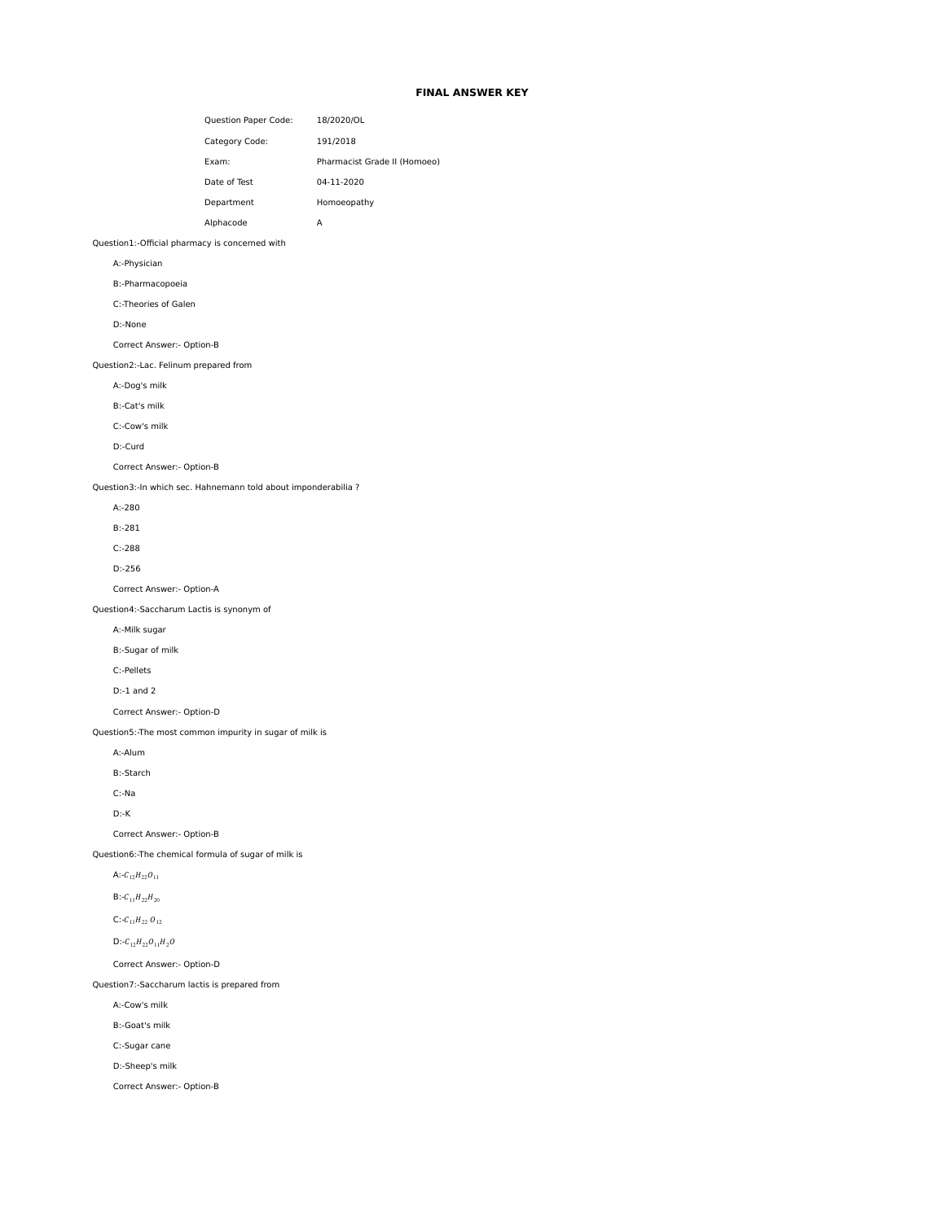# **FINAL ANSWER KEY**

|                                                | Category Code:                                                 | 191/2018                     |
|------------------------------------------------|----------------------------------------------------------------|------------------------------|
|                                                | Exam:                                                          | Pharmacist Grade II (Homoeo) |
|                                                | Date of Test                                                   | 04-11-2020                   |
|                                                | Department                                                     | Homoeopathy                  |
|                                                | Alphacode                                                      | А                            |
| Question1:-Official pharmacy is concerned with |                                                                |                              |
| A:-Physician                                   |                                                                |                              |
| B:-Pharmacopoeia                               |                                                                |                              |
| C:-Theories of Galen                           |                                                                |                              |
| D:-None                                        |                                                                |                              |
| Correct Answer:- Option-B                      |                                                                |                              |
| Question2:-Lac. Felinum prepared from          |                                                                |                              |
| A:-Dog's milk                                  |                                                                |                              |
| B:-Cat's milk                                  |                                                                |                              |
| C:-Cow's milk                                  |                                                                |                              |
| D:-Curd                                        |                                                                |                              |
| Correct Answer:- Option-B                      |                                                                |                              |
|                                                | Question3:-In which sec. Hahnemann told about imponderabilia ? |                              |
| $A: -280$                                      |                                                                |                              |
| $B:-281$                                       |                                                                |                              |
| $C: -288$                                      |                                                                |                              |
| $D:-256$                                       |                                                                |                              |
| Correct Answer:- Option-A                      |                                                                |                              |
| Question4:-Saccharum Lactis is synonym of      |                                                                |                              |
| A:-Milk sugar                                  |                                                                |                              |
| B:-Sugar of milk                               |                                                                |                              |
| C:-Pellets                                     |                                                                |                              |
| $D:-1$ and $2$                                 |                                                                |                              |
| Correct Answer:- Option-D                      |                                                                |                              |
|                                                | Question5:-The most common impurity in sugar of milk is        |                              |
| A:-Alum                                        |                                                                |                              |
| <b>B:-Starch</b>                               |                                                                |                              |
| $C:$ -Na                                       |                                                                |                              |
| $D - K$                                        |                                                                |                              |
| Correct Answer:- Option-B                      |                                                                |                              |
|                                                | Question6:-The chemical formula of sugar of milk is            |                              |
| A:- $C_{12}H_{22}O_{11}$                       |                                                                |                              |
| $B:-C_{11}H_{22}H_{20}$                        |                                                                |                              |
| C:- $C_{11}H_{22}$ $O_{12}$                    |                                                                |                              |
| $D:-C_{12}H_{22}O_{11}H_2O$                    |                                                                |                              |
| Correct Answer:- Option-D                      |                                                                |                              |
| Question7:-Saccharum lactis is prepared from   |                                                                |                              |
| A:-Cow's milk                                  |                                                                |                              |
| B:-Goat's milk                                 |                                                                |                              |
| C:-Sugar cane                                  |                                                                |                              |
| D:-Sheep's milk                                |                                                                |                              |

Question Paper Code: 18/2020/OL

Correct Answer:- Option-B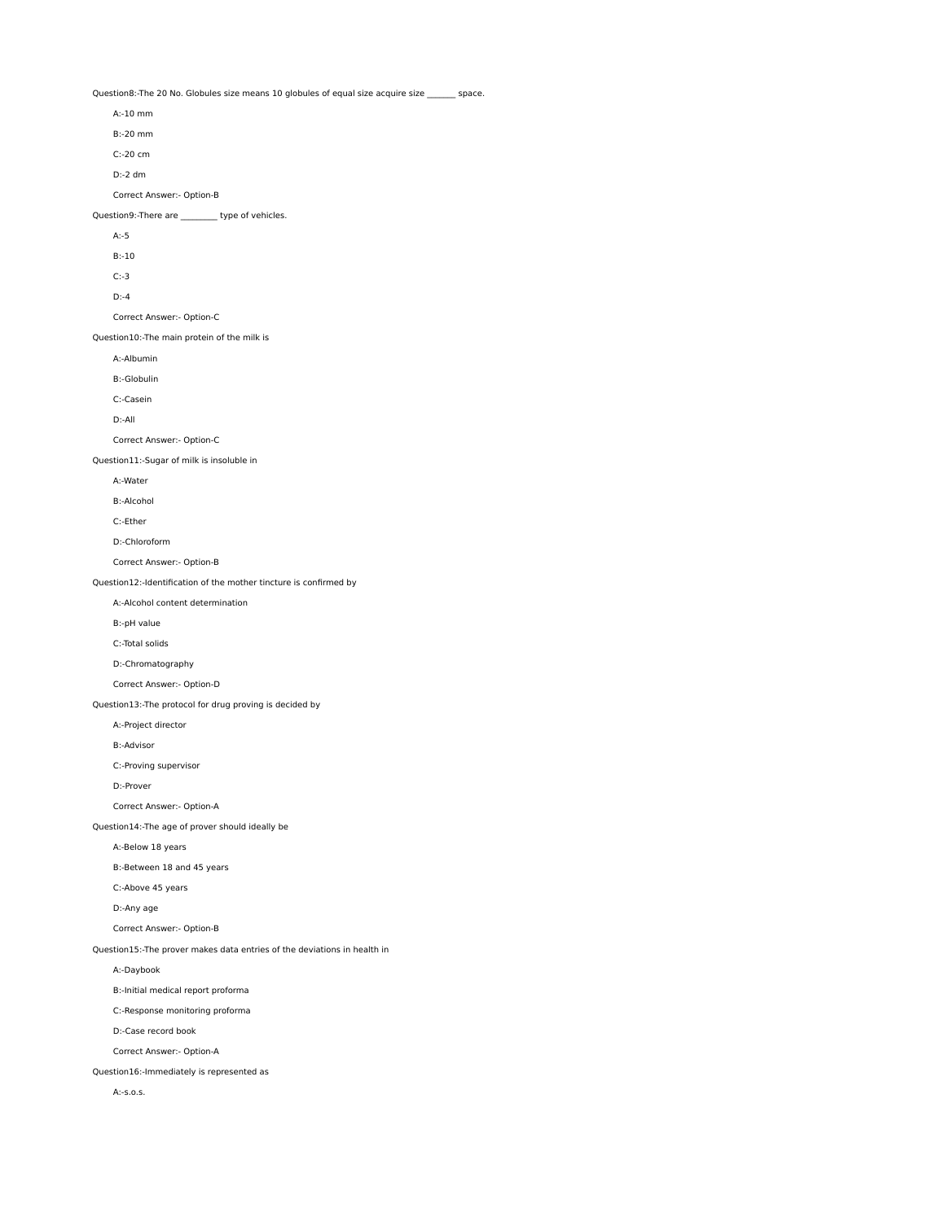Question8:-The 20 No. Globules size means 10 globules of equal size acquire size \_\_\_\_\_\_ space.

 A:-10 mm B:-20 mm C:-20 cm D:-2 dm Correct Answer:- Option-B Question9:-There are \_\_\_\_\_\_\_\_\_ type of vehicles. A:-5 B:-10 C:-3 D:-4 Correct Answer:- Option-C Question10:-The main protein of the milk is A:-Albumin B:-Globulin C:-Casein D:-All Correct Answer:- Option-C Question11:-Sugar of milk is insoluble in A:-Water B:-Alcohol C:-Ether D:-Chloroform Correct Answer:- Option-B Question12:-Identification of the mother tincture is confirmed by A:-Alcohol content determination B:-pH value C:-Total solids D:-Chromatography Correct Answer:- Option-D Question13:-The protocol for drug proving is decided by A:-Project director B:-Advisor C:-Proving supervisor D:-Prover Correct Answer:- Option-A Question14:-The age of prover should ideally be A:-Below 18 years B:-Between 18 and 45 years C:-Above 45 years D:-Any age Correct Answer:- Option-B Question15:-The prover makes data entries of the deviations in health in A:-Daybook B:-Initial medical report proforma C:-Response monitoring proforma D:-Case record book Correct Answer:- Option-A Question16:-Immediately is represented as A:-s.o.s.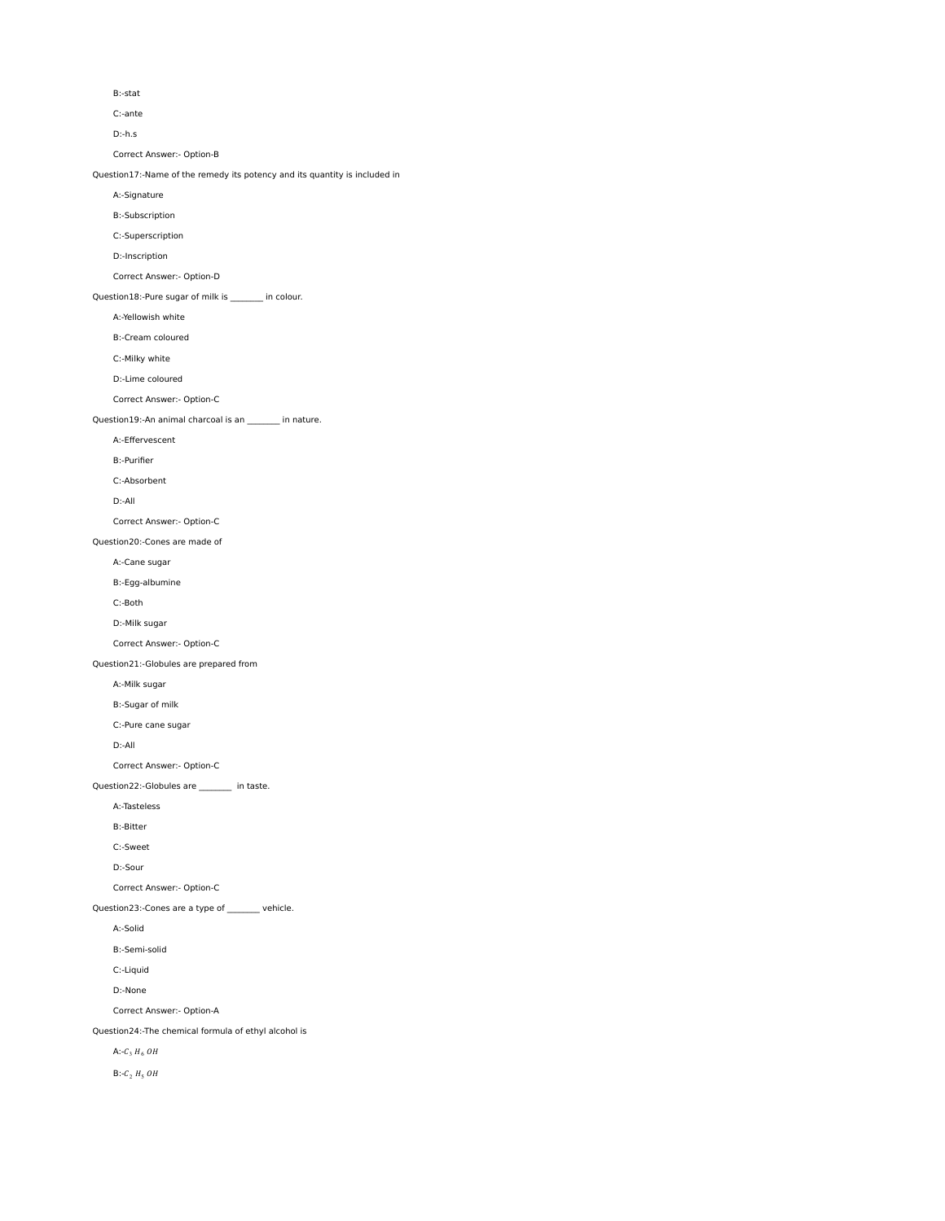B:-stat

C:-ante

D:-h.s

Correct Answer:- Option-B

Question17:-Name of the remedy its potency and its quantity is included in

A:-Signature

B:-Subscription

C:-Superscription

D:-Inscription

Correct Answer:- Option-D

Question18:-Pure sugar of milk is \_\_\_\_\_\_\_\_ in colour.

A:-Yellowish white

B:-Cream coloured

C:-Milky white

D:-Lime coloured

Correct Answer:- Option-C

Question19:-An animal charcoal is an \_\_\_\_\_\_\_\_ in nature.

A:-Effervescent

B:-Purifier

C:-Absorbent

D:-All

Correct Answer:- Option-C

Question20:-Cones are made of

A:-Cane sugar

B:-Egg-albumine

C:-Both

D:-Milk sugar

Correct Answer:- Option-C

Question21:-Globules are prepared from

A:-Milk sugar

B:-Sugar of milk

C:-Pure cane sugar

D:-All

Correct Answer:- Option-C

Question22:-Globules are \_\_\_\_\_\_\_\_ in taste.

A:-Tasteless

B:-Bitter

C:-Sweet

D:-Sour

Correct Answer:- Option-C

Question23:-Cones are a type of \_\_\_\_\_\_\_ vehicle.

A:-Solid

B:-Semi-solid

C:-Liquid

D:-None

Correct Answer:- Option-A

Question24:-The chemical formula of ethyl alcohol is

A:- $C_3$   $H_6$   $OH$ 

B:- $C_2$   $H_5$   $OH$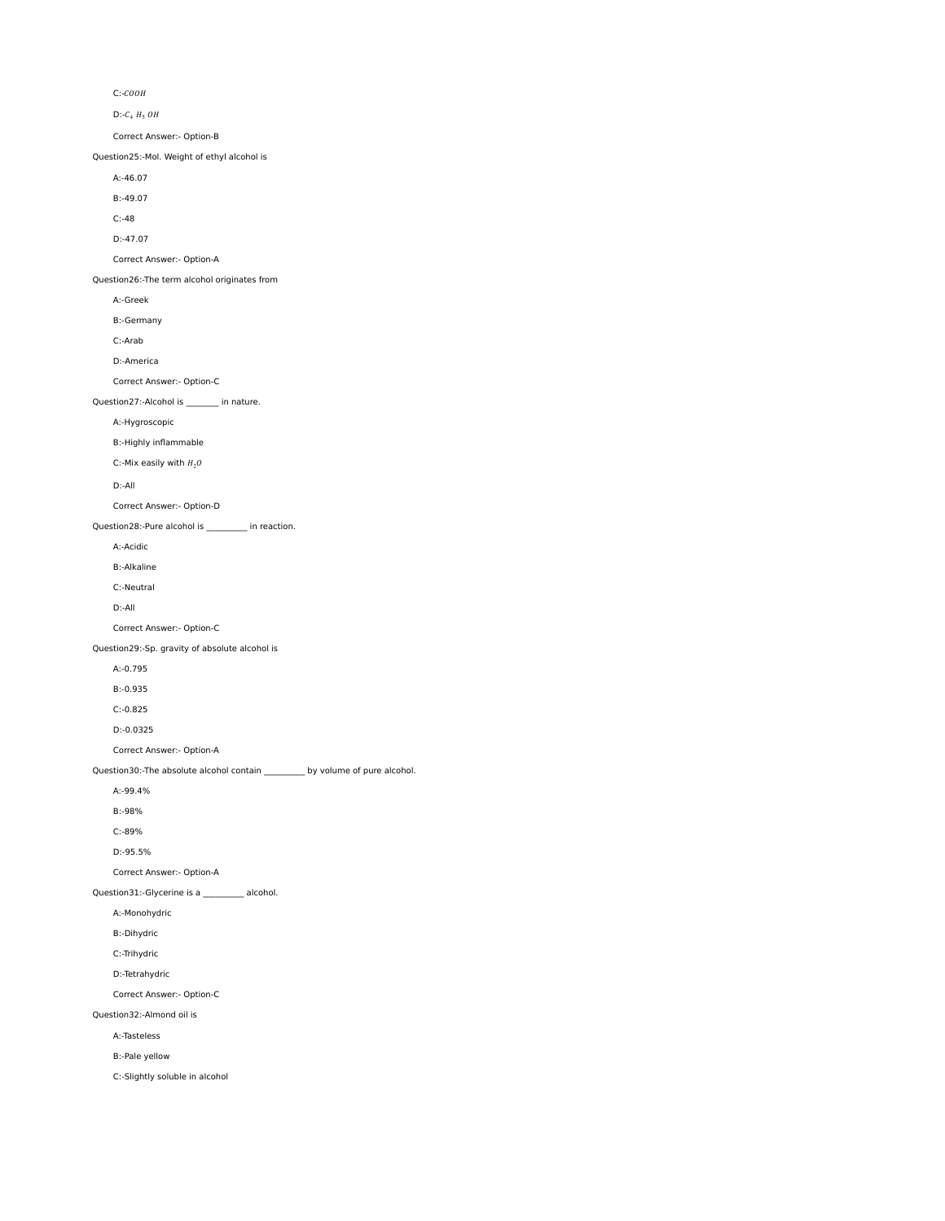$C:-COOH$ 

 $D$ :- $C_4$   $H_5$   $OH$ 

Correct Answer:- Option-B

Question25:-Mol. Weight of ethyl alcohol is

A:-46.07

B:-49.07

C:-48

D:-47.07

Correct Answer:- Option-A

Question26:-The term alcohol originates from

A:-Greek

B:-Germany

C:-Arab

D:-America

Correct Answer:- Option-C

Question27:-Alcohol is \_\_\_\_\_\_\_\_ in nature.

A:-Hygroscopic

B:-Highly inflammable

C:-Mix easily with  $H_2O$ 

D:-All

Correct Answer:- Option-D

Question28:-Pure alcohol is \_\_\_\_\_\_\_\_\_\_ in reaction.

A:-Acidic

B:-Alkaline

C:-Neutral

D:-All

Correct Answer:- Option-C

Question29:-Sp. gravity of absolute alcohol is

A:-0.795

B:-0.935

C:-0.825

D:-0.0325

Correct Answer:- Option-A

Question30:-The absolute alcohol contain \_\_\_\_\_\_\_\_\_\_ by volume of pure alcohol.

A:-99.4%

B:-98%

C:-89%

D:-95.5%

Correct Answer:- Option-A

Question31:-Glycerine is a \_\_\_\_\_\_\_\_\_ alcohol.

A:-Monohydric

B:-Dihydric

C:-Trihydric

D:-Tetrahydric

Correct Answer:- Option-C

Question32:-Almond oil is

A:-Tasteless

B:-Pale yellow

C:-Slightly soluble in alcohol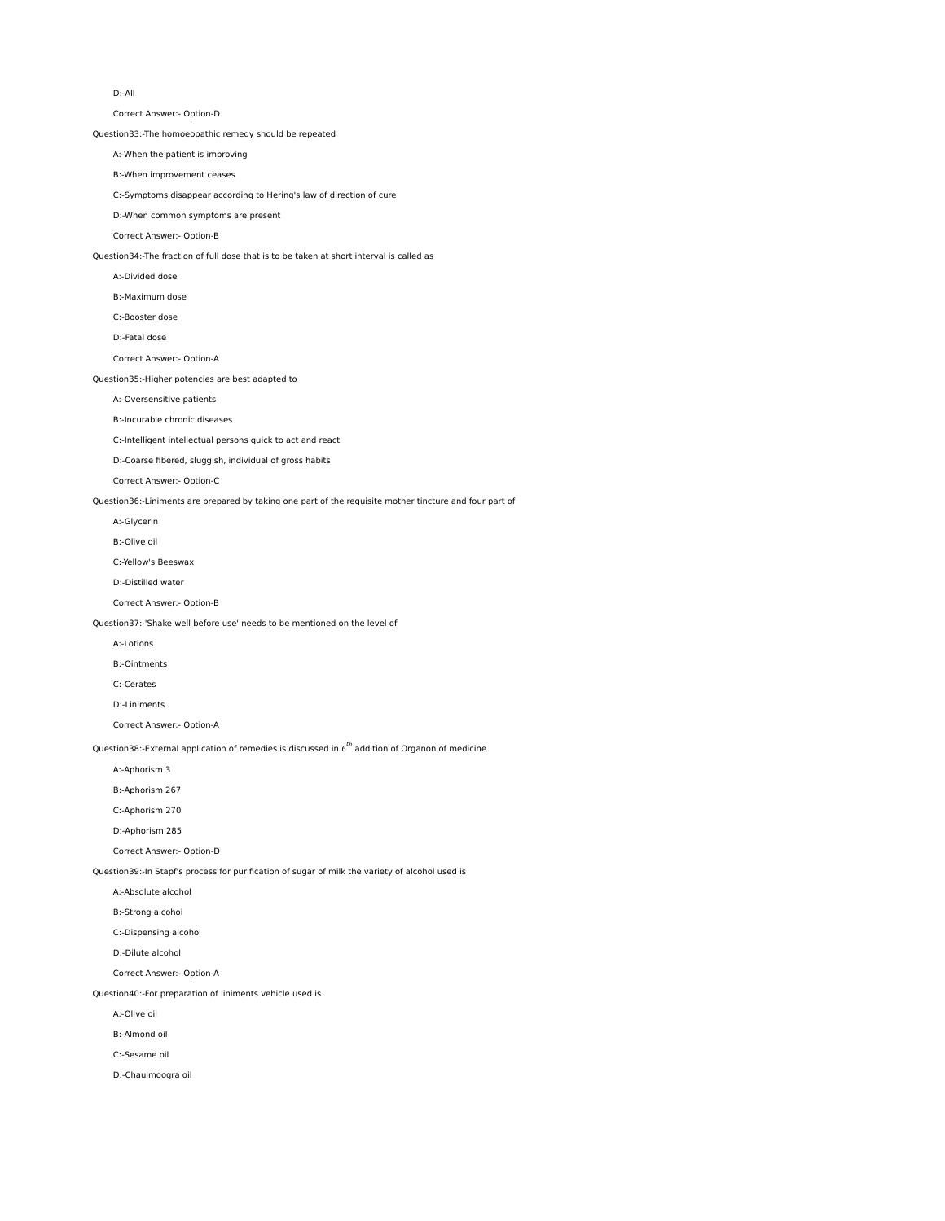D:-All

Correct Answer:- Option-D

Question33:-The homoeopathic remedy should be repeated

A:-When the patient is improving

B:-When improvement ceases

C:-Symptoms disappear according to Hering's law of direction of cure

D:-When common symptoms are present

Correct Answer:- Option-B

Question34:-The fraction of full dose that is to be taken at short interval is called as

A:-Divided dose

B:-Maximum dose

C:-Booster dose

D:-Fatal dose

Correct Answer:- Option-A

Question35:-Higher potencies are best adapted to

# A:-Oversensitive patients

B:-Incurable chronic diseases

C:-Intelligent intellectual persons quick to act and react

D:-Coarse fibered, sluggish, individual of gross habits

Correct Answer:- Option-C

Question36:-Liniments are prepared by taking one part of the requisite mother tincture and four part of

A:-Glycerin

B:-Olive oil

C:-Yellow's Beeswax

D:-Distilled water

Correct Answer:- Option-B

Question37:-'Shake well before use' needs to be mentioned on the level of

A:-Lotions

B:-Ointments

C:-Cerates

D:-Liniments

Correct Answer:- Option-A

Question38:-External application of remedies is discussed in  $6^{th}$  addition of Organon of medicine

A:-Aphorism 3

B:-Aphorism 267

C:-Aphorism 270

D:-Aphorism 285

Correct Answer:- Option-D

Question39:-In Stapf's process for purification of sugar of milk the variety of alcohol used is

A:-Absolute alcohol

B:-Strong alcohol

C:-Dispensing alcohol

D:-Dilute alcohol

Correct Answer:- Option-A

Question40:-For preparation of liniments vehicle used is

A:-Olive oil

B:-Almond oil

C:-Sesame oil

D:-Chaulmoogra oil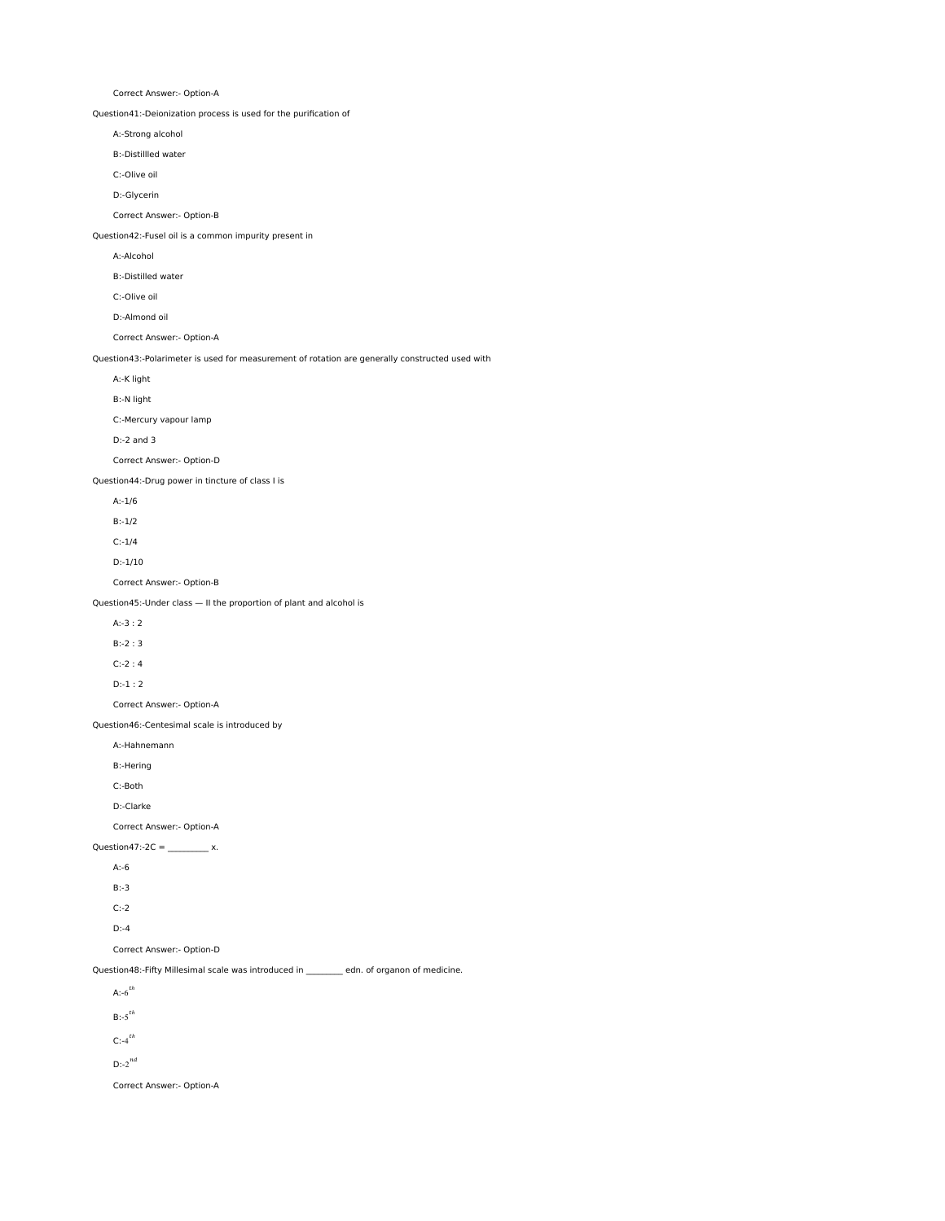Correct Answer:- Option-A Question41:-Deionization process is used for the purification of A:-Strong alcohol B:-Distillled water C:-Olive oil D:-Glycerin Correct Answer:- Option-B Question42:-Fusel oil is a common impurity present in A:-Alcohol B:-Distilled water C:-Olive oil D:-Almond oil Correct Answer:- Option-A Question43:-Polarimeter is used for measurement of rotation are generally constructed used with A:-K light B:-N light C:-Mercury vapour lamp D:-2 and 3 Correct Answer:- Option-D Question44:-Drug power in tincture of class I is A:-1/6 B:-1/2 C:-1/4 D:-1/10 Correct Answer:- Option-B Question45:-Under class — II the proportion of plant and alcohol is A:-3 : 2 B:-2 : 3 C:-2 : 4 D:-1 : 2 Correct Answer:- Option-A Question46:-Centesimal scale is introduced by A:-Hahnemann B:-Hering C:-Both D:-Clarke Correct Answer:- Option-A Question47:-2C =  $\frac{1}{2}$  x. A:-6 B:-3 C:-2 D:-4 Correct Answer:- Option-D Question48:-Fifty Millesimal scale was introduced in \_\_\_\_\_\_\_\_ edn. of organon of medicine. A: $-6^{th}$  $B:-5$ <sup>th</sup>  $C$ :-4 $^{th}$ 

 $D:-2^{nd}$ 

Correct Answer:- Option-A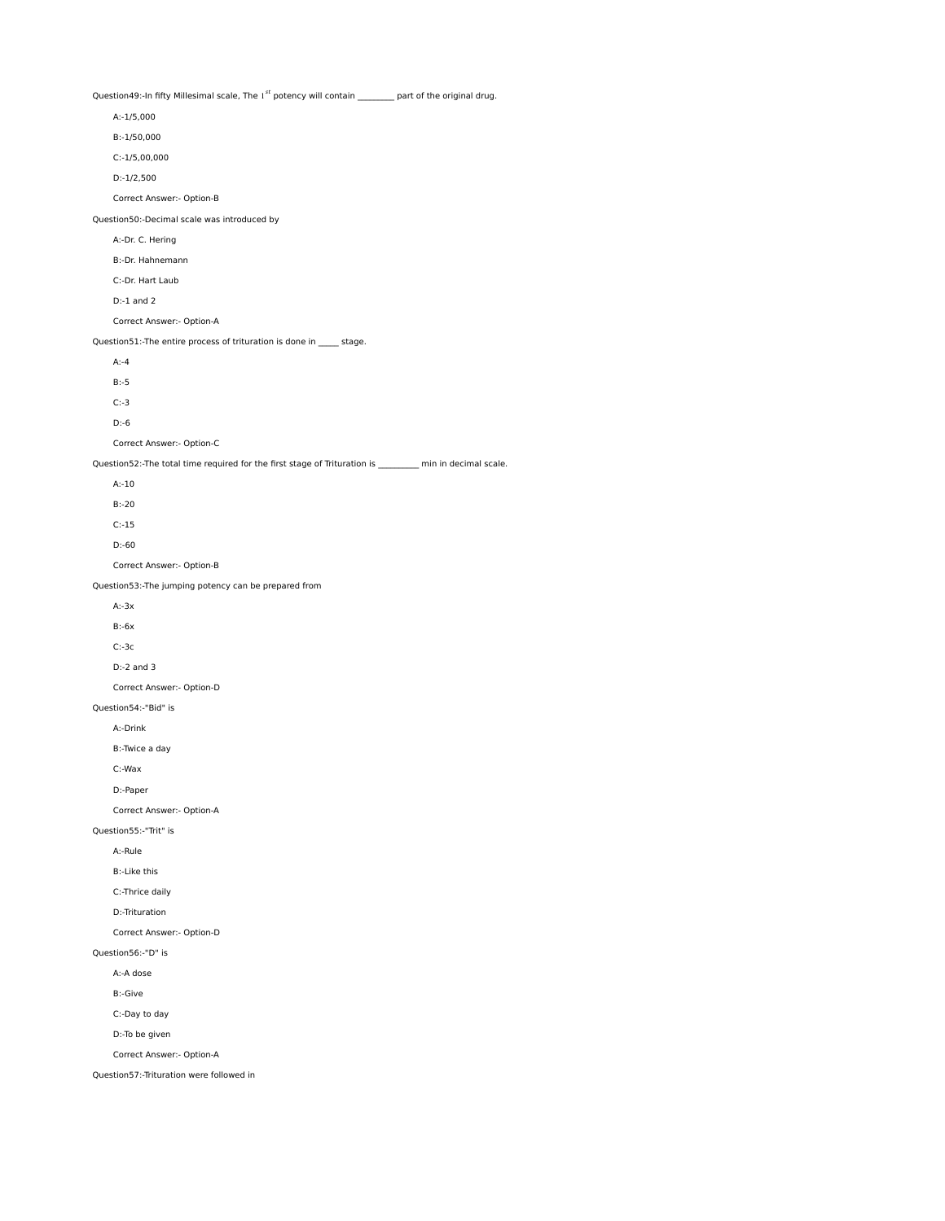Question49:-In fifty Millesimal scale, The  $1^{st}$  potency will contain  $p$ art of the original drug.

| A:-1/5,000                                                                                               |
|----------------------------------------------------------------------------------------------------------|
| B:-1/50,000                                                                                              |
| $C:-1/5,00,000$                                                                                          |
| $D:-1/2,500$                                                                                             |
| Correct Answer:- Option-B                                                                                |
| Question50:-Decimal scale was introduced by                                                              |
| A:-Dr. C. Hering                                                                                         |
| B:-Dr. Hahnemann                                                                                         |
| C:-Dr. Hart Laub                                                                                         |
| $D:-1$ and $2$                                                                                           |
| Correct Answer:- Option-A                                                                                |
| Question51:-The entire process of trituration is done in _____ stage.                                    |
| $A:-4$                                                                                                   |
| $B:-5$                                                                                                   |
| $C:-3$                                                                                                   |
| $D: -6$                                                                                                  |
| Correct Answer:- Option-C                                                                                |
| Question52:-The total time required for the first stage of Trituration is ________ min in decimal scale. |
| $A: -10$                                                                                                 |
| $B:-20$                                                                                                  |
| $C: -15$                                                                                                 |
| $D: -60$                                                                                                 |
| Correct Answer:- Option-B                                                                                |
| Question53:-The jumping potency can be prepared from                                                     |
| $A:-3x$                                                                                                  |
| $B: -6x$                                                                                                 |
| $C:-3c$                                                                                                  |
| $D:-2$ and 3                                                                                             |
| Correct Answer:- Option-D                                                                                |
| Question54:-"Bid" is                                                                                     |
| A:-Drink                                                                                                 |
| B:-Twice a day                                                                                           |
| C:-Wax                                                                                                   |
| D:-Paper                                                                                                 |
| Correct Answer:- Option-A                                                                                |
| Question55:-"Trit" is                                                                                    |
| A:-Rule                                                                                                  |
| <b>B:-Like this</b>                                                                                      |
| C:-Thrice daily                                                                                          |
| D:-Trituration                                                                                           |
| Correct Answer:- Option-D                                                                                |
| Question56:-"D" is                                                                                       |
| A:-A dose                                                                                                |
| <b>B:-Give</b>                                                                                           |
| C:-Day to day                                                                                            |
| D:-To be given                                                                                           |
| Correct Answer:- Option-A                                                                                |
|                                                                                                          |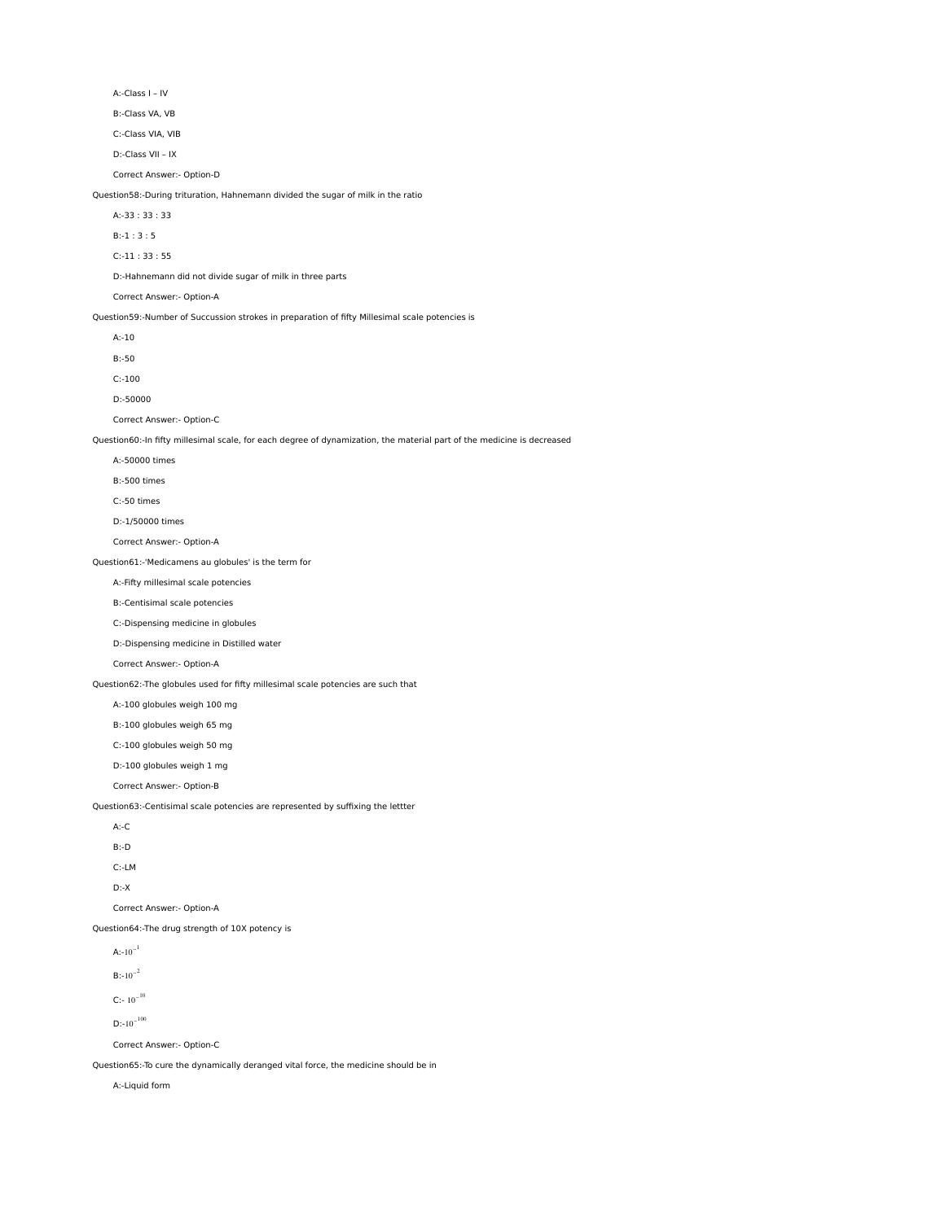A:-Class I – IV

B:-Class VA, VB

C:-Class VIA, VIB

D:-Class VII – IX

Correct Answer:- Option-D

Question58:-During trituration, Hahnemann divided the sugar of milk in the ratio

A:-33 : 33 : 33

B:-1 : 3 : 5

C:-11 : 33 : 55

D:-Hahnemann did not divide sugar of milk in three parts

Correct Answer:- Option-A

Question59:-Number of Succussion strokes in preparation of fifty Millesimal scale potencies is

A:-10

B:-50

C:-100

D:-50000

Correct Answer:- Option-C

Question60:-In fifty millesimal scale, for each degree of dynamization, the material part of the medicine is decreased

- A:-50000 times
- B:-500 times
- C:-50 times
- D:-1/50000 times

Correct Answer:- Option-A

Question61:-'Medicamens au globules' is the term for

A:-Fifty millesimal scale potencies

B:-Centisimal scale potencies

C:-Dispensing medicine in globules

D:-Dispensing medicine in Distilled water

Correct Answer:- Option-A

Question62:-The globules used for fifty millesimal scale potencies are such that

A:-100 globules weigh 100 mg

B:-100 globules weigh 65 mg

C:-100 globules weigh 50 mg

D:-100 globules weigh 1 mg

Correct Answer:- Option-B

Question63:-Centisimal scale potencies are represented by suffixing the lettter

| A:-C  |
|-------|
| B:-D  |
| C:-LM |

D:-X

Correct Answer:- Option-A

Question64:-The drug strength of 10X potency is

A: $-10^{-1}$ 

 $\mathsf{B}{:}{\text{-}10}^{\text{-}2}$ 

 $C$ :- 10<sup>-10</sup>

D:-10<sup>-100</sup>

Correct Answer:- Option-C

Question65:-To cure the dynamically deranged vital force, the medicine should be in

A:-Liquid form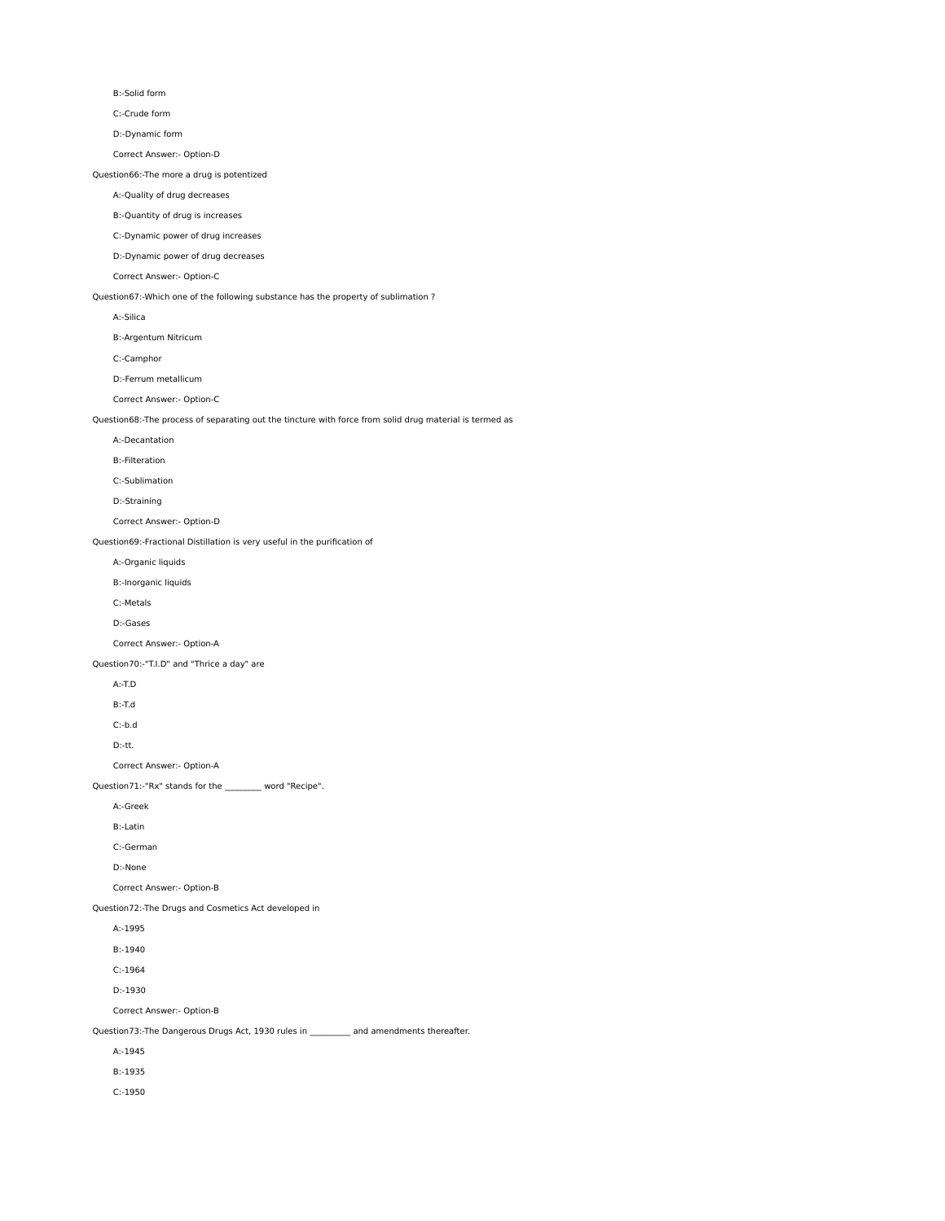B:-Solid form

C:-Crude form

D:-Dynamic form

Correct Answer:- Option-D

Question66:-The more a drug is potentized

A:-Quality of drug decreases

B:-Quantity of drug is increases

C:-Dynamic power of drug increases

D:-Dynamic power of drug decreases

Correct Answer:- Option-C

Question67:-Which one of the following substance has the property of sublimation ?

A:-Silica

B:-Argentum Nitricum

C:-Camphor

D:-Ferrum metallicum

Correct Answer:- Option-C

Question68:-The process of separating out the tincture with force from solid drug material is termed as

A:-Decantation

B:-Filteration

C:-Sublimation

D:-Straining

Correct Answer:- Option-D

Question69:-Fractional Distillation is very useful in the purification of

A:-Organic liquids

B:-Inorganic liquids

C:-Metals

D:-Gases

Correct Answer:- Option-A

Question70:-"T.I.D" and "Thrice a day" are

A:-T.D

B:-T.d

C:-b.d

D:-tt.

Correct Answer:- Option-A

Question71:-"Rx" stands for the \_\_\_\_\_\_\_\_\_ word "Recipe".

A:-Greek

B:-Latin

C:-German

D:-None

Correct Answer:- Option-B

Question72:-The Drugs and Cosmetics Act developed in

A:-1995

B:-1940

C:-1964

D:-1930

Correct Answer:- Option-B

Question73:-The Dangerous Drugs Act, 1930 rules in **and amendments thereafter.** 

A:-1945

B:-1935

C:-1950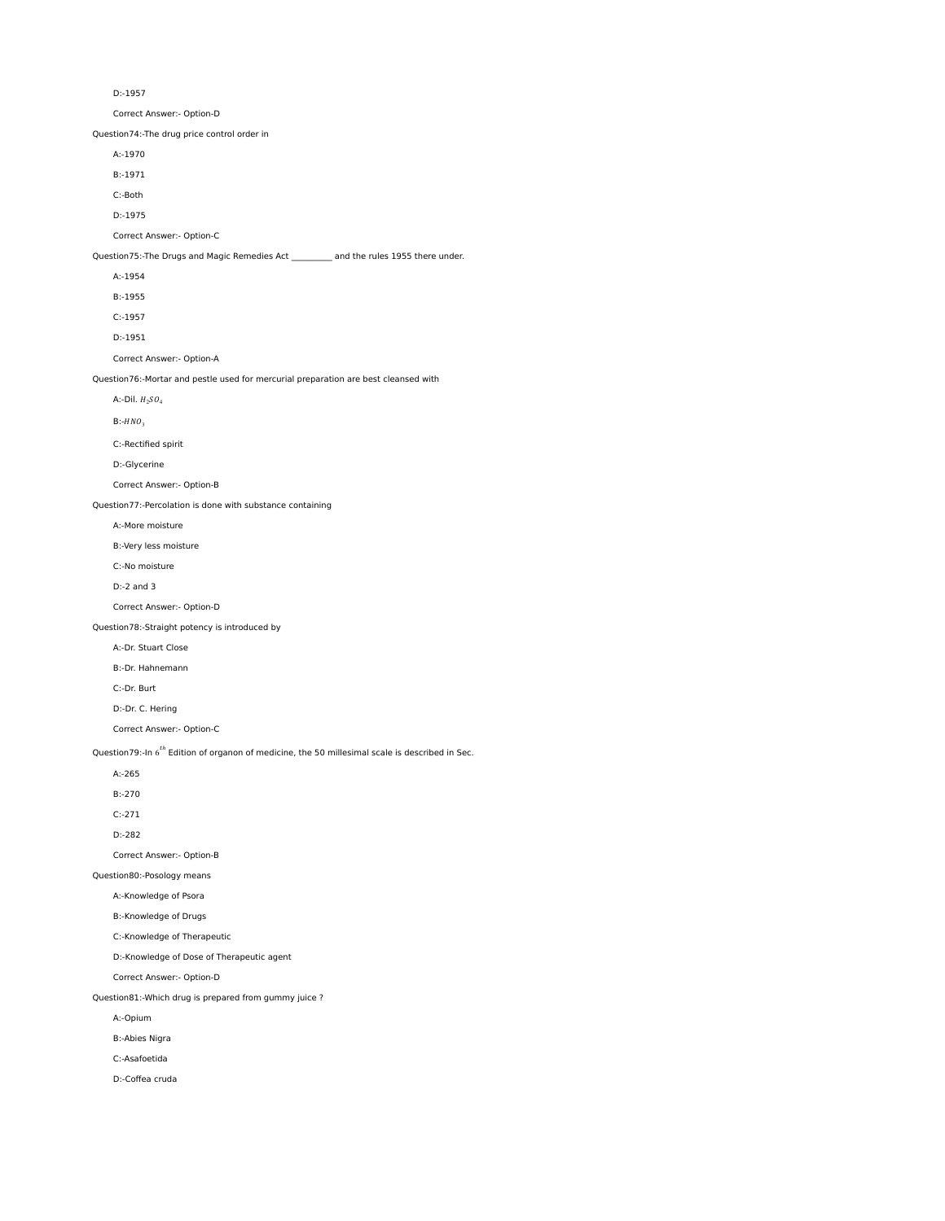D:-1957

Correct Answer:- Option-D

Question74:-The drug price control order in

A:-1970

B:-1971

C:-Both

D:-1975

Correct Answer:- Option-C

Question75:-The Drugs and Magic Remedies Act \_\_\_\_\_\_\_\_\_\_ and the rules 1955 there under.

A:-1954

B:-1955

C:-1957

D:-1951

Correct Answer:- Option-A

Question76:-Mortar and pestle used for mercurial preparation are best cleansed with

A:-Dil.  $H_2SO_4$ 

 $B:-HNO<sub>3</sub>$ 

C:-Rectified spirit

D:-Glycerine

Correct Answer:- Option-B

Question77:-Percolation is done with substance containing

A:-More moisture

B:-Very less moisture

C:-No moisture

D:-2 and 3

Correct Answer:- Option-D

Question78:-Straight potency is introduced by

A:-Dr. Stuart Close

B:-Dr. Hahnemann

C:-Dr. Burt

D:-Dr. C. Hering

Correct Answer:- Option-C

Question79:-In 6<sup>th</sup> Edition of organon of medicine, the 50 millesimal scale is described in Sec.

A:-265

B:-270

C:-271

D:-282

Correct Answer:- Option-B

Question80:-Posology means

A:-Knowledge of Psora

B:-Knowledge of Drugs

C:-Knowledge of Therapeutic

D:-Knowledge of Dose of Therapeutic agent

Correct Answer:- Option-D

Question81:-Which drug is prepared from gummy juice ?

A:-Opium

B:-Abies Nigra

C:-Asafoetida

D:-Coffea cruda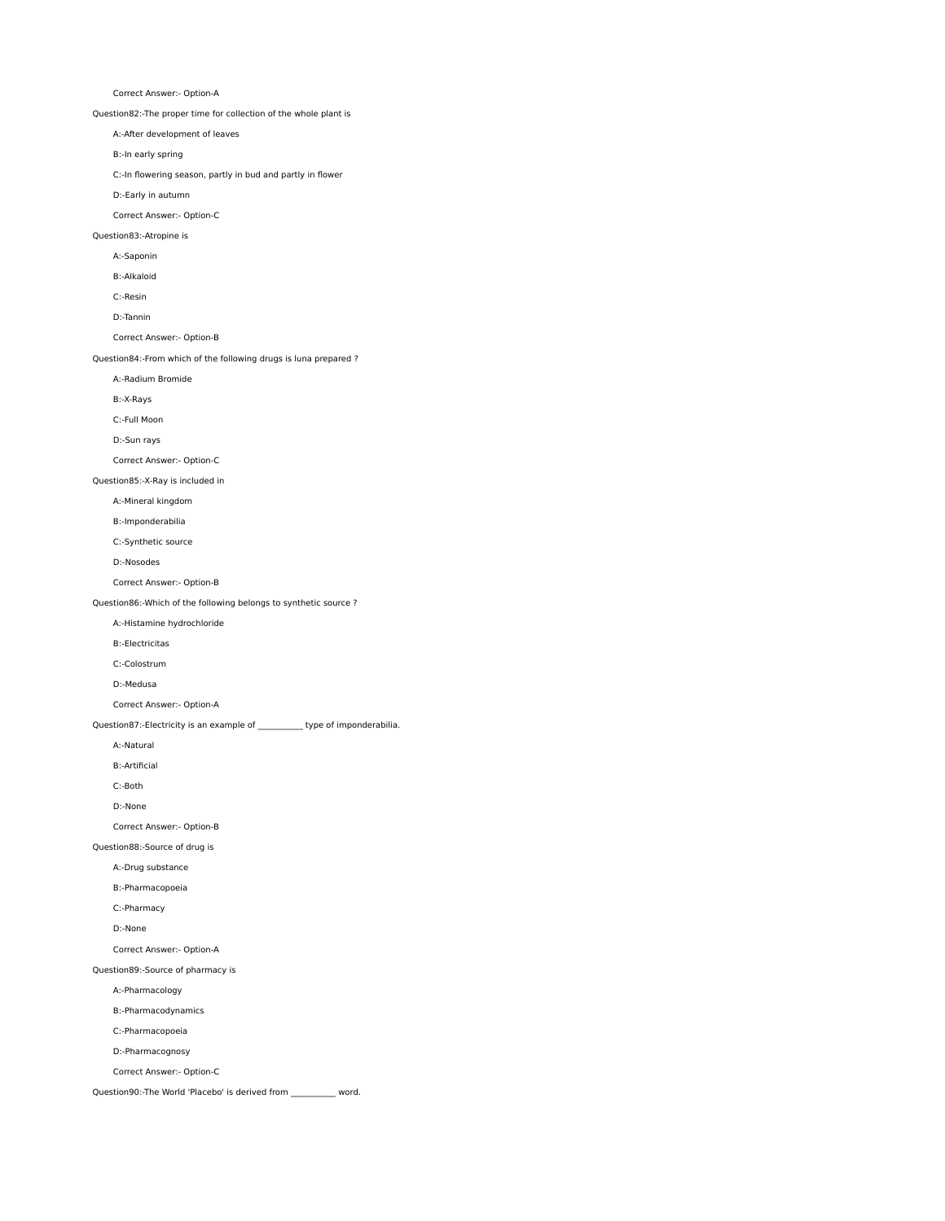Correct Answer:- Option-A

Question82:-The proper time for collection of the whole plant is

A:-After development of leaves

B:-In early spring

C:-In flowering season, partly in bud and partly in flower

D:-Early in autumn

Correct Answer:- Option-C

Question83:-Atropine is

A:-Saponin

B:-Alkaloid

C:-Resin

D:-Tannin

Correct Answer:- Option-B

Question84:-From which of the following drugs is luna prepared ?

A:-Radium Bromide

B:-X-Rays

C:-Full Moon

D:-Sun rays

Correct Answer:- Option-C

Question85:-X-Ray is included in

# A:-Mineral kingdom

B:-Imponderabilia

C:-Synthetic source

D:-Nosodes

Correct Answer:- Option-B

Question86:-Which of the following belongs to synthetic source ?

A:-Histamine hydrochloride

B:-Electricitas

C:-Colostrum

D:-Medusa

Correct Answer:- Option-A

Question87:-Electricity is an example of \_\_\_\_\_\_\_\_\_\_\_ type of imponderabilia.

A:-Natural

B:-Artificial

C:-Both

D:-None

Correct Answer:- Option-B

Question88:-Source of drug is

A:-Drug substance

B:-Pharmacopoeia

C:-Pharmacy

D:-None

Correct Answer:- Option-A

Question89:-Source of pharmacy is

A:-Pharmacology

B:-Pharmacodynamics

C:-Pharmacopoeia

D:-Pharmacognosy

Correct Answer:- Option-C

Question90:-The World 'Placebo' is derived from \_\_\_\_\_\_\_\_\_\_\_ word.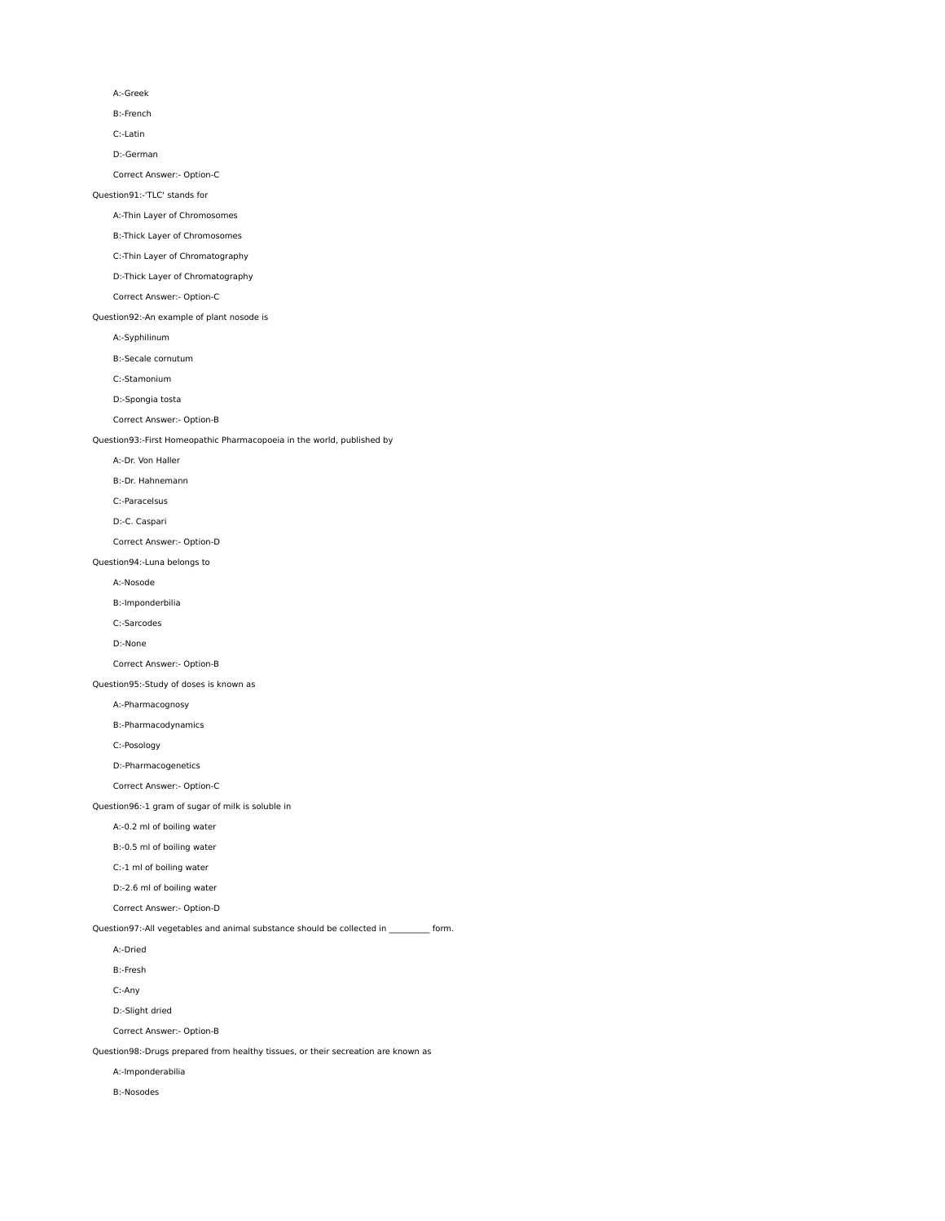### A:-Greek

B:-French

C:-Latin

D:-German

Correct Answer:- Option-C

# Question91:-'TLC' stands for

# A:-Thin Layer of Chromosomes

B:-Thick Layer of Chromosomes

# C:-Thin Layer of Chromatography

D:-Thick Layer of Chromatography

# Correct Answer:- Option-C

Question92:-An example of plant nosode is

A:-Syphilinum

B:-Secale cornutum

C:-Stamonium

D:-Spongia tosta

Correct Answer:- Option-B

# Question93:-First Homeopathic Pharmacopoeia in the world, published by

A:-Dr. Von Haller

B:-Dr. Hahnemann

# C:-Paracelsus

D:-C. Caspari

# Correct Answer:- Option-D

Question94:-Luna belongs to

### A:-Nosode

B:-Imponderbilia

# C:-Sarcodes

D:-None

Correct Answer:- Option-B

# Question95:-Study of doses is known as

A:-Pharmacognosy

# B:-Pharmacodynamics

C:-Posology

# D:-Pharmacogenetics

Correct Answer:- Option-C

# Question96:-1 gram of sugar of milk is soluble in

A:-0.2 ml of boiling water

# B:-0.5 ml of boiling water

C:-1 ml of boiling water

# D:-2.6 ml of boiling water

Correct Answer:- Option-D

### Question97:-All vegetables and animal substance should be collected in  $\qquad \qquad$  form.

A:-Dried

B:-Fresh

# C:-Any

D:-Slight dried

Correct Answer:- Option-B

# Question98:-Drugs prepared from healthy tissues, or their secreation are known as

A:-Imponderabilia

### B:-Nosodes